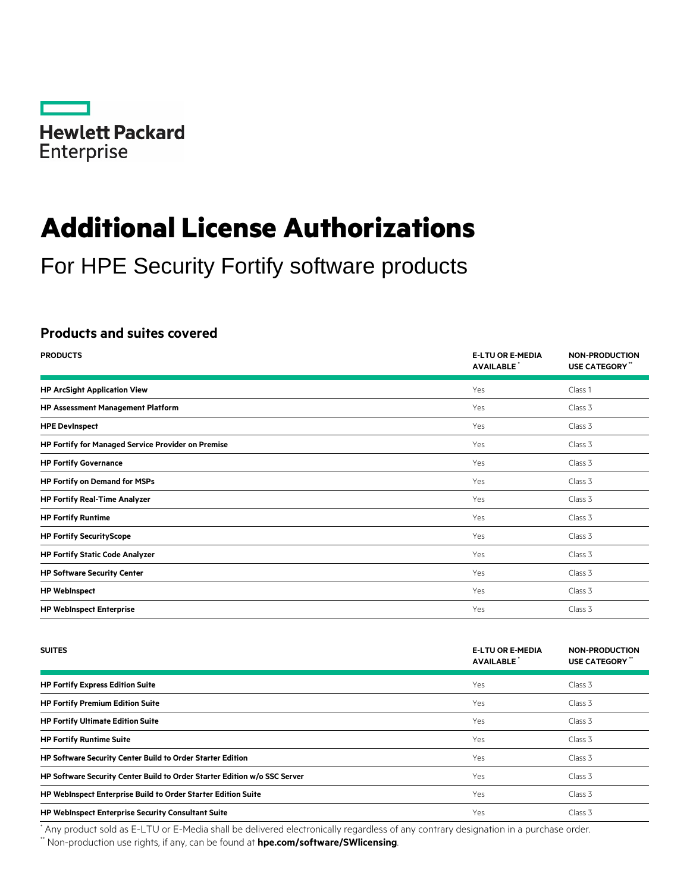

# **Additional License Authorizations**

For HPE Security Fortify software products

## **Products and suites covered**

| <b>PRODUCTS</b>                                           | <b>E-LTU OR E-MEDIA</b><br><b>AVAILABLE</b> | <b>NON-PRODUCTION</b><br>USE CATEGORY" |
|-----------------------------------------------------------|---------------------------------------------|----------------------------------------|
| <b>HP ArcSight Application View</b>                       | Yes                                         | Class 1                                |
| <b>HP Assessment Management Platform</b>                  | Yes                                         | Class 3                                |
| <b>HPE Devinspect</b>                                     | Yes                                         | Class 3                                |
| <b>HP Fortify for Managed Service Provider on Premise</b> | Yes                                         | Class 3                                |
| <b>HP Fortify Governance</b>                              | Yes                                         | Class 3                                |
| <b>HP Fortify on Demand for MSPs</b>                      | Yes                                         | Class 3                                |
| <b>HP Fortify Real-Time Analyzer</b>                      | Yes                                         | Class 3                                |
| <b>HP Fortify Runtime</b>                                 | Yes                                         | Class 3                                |
| <b>HP Fortify SecurityScope</b>                           | Yes                                         | Class 3                                |
| <b>HP Fortify Static Code Analyzer</b>                    | Yes                                         | Class 3                                |
| <b>HP Software Security Center</b>                        | Yes                                         | Class 3                                |
| <b>HP WebInspect</b>                                      | Yes                                         | Class 3                                |
| <b>HP WebInspect Enterprise</b>                           | Yes                                         | Class 3                                |

| <b>SUITES</b>                                                             | <b>E-LTU OR E-MEDIA</b><br><b>AVAILABLE</b> | <b>NON-PRODUCTION</b><br>USE CATEGORY " |
|---------------------------------------------------------------------------|---------------------------------------------|-----------------------------------------|
| <b>HP Fortify Express Edition Suite</b>                                   | Yes                                         | Class 3                                 |
| <b>HP Fortify Premium Edition Suite</b>                                   | <b>Yes</b>                                  | Class 3                                 |
| <b>HP Fortify Ultimate Edition Suite</b>                                  | <b>Yes</b>                                  | Class 3                                 |
| <b>HP Fortify Runtime Suite</b>                                           | <b>Yes</b>                                  | Class 3                                 |
| HP Software Security Center Build to Order Starter Edition                | Yes                                         | Class 3                                 |
| HP Software Security Center Build to Order Starter Edition w/o SSC Server | <b>Yes</b>                                  | Class 3                                 |
| HP WebInspect Enterprise Build to Order Starter Edition Suite             | <b>Yes</b>                                  | Class 3                                 |
| <b>HP WebInspect Enterprise Security Consultant Suite</b>                 | Yes                                         | Class 3                                 |

\* Any product sold as E-LTU or E-Media shall be delivered electronically regardless of any contrary designation in a purchase order.

\*\* Non-production use rights, if any, can be found at **[hpe.com/software/SWlicensing](http://www.hpe.com/software/SWlicensing)**.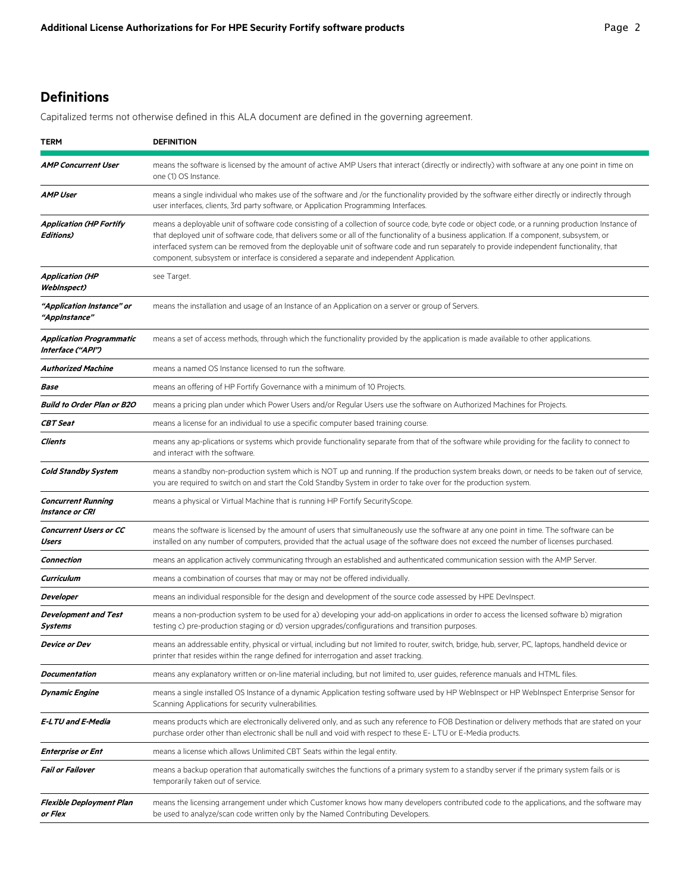# **Definitions**

Capitalized terms not otherwise defined in this ALA document are defined in the governing agreement.

| <b>TERM</b>                                   | <b>DEFINITION</b>                                                                                                                                                                                                                                                                                                                                                                                                                                                                                                                        |
|-----------------------------------------------|------------------------------------------------------------------------------------------------------------------------------------------------------------------------------------------------------------------------------------------------------------------------------------------------------------------------------------------------------------------------------------------------------------------------------------------------------------------------------------------------------------------------------------------|
| <b>AMP Concurrent User</b>                    | means the software is licensed by the amount of active AMP Users that interact (directly or indirectly) with software at any one point in time on<br>one (1) OS Instance.                                                                                                                                                                                                                                                                                                                                                                |
| AMP User                                      | means a single individual who makes use of the software and /or the functionality provided by the software either directly or indirectly through<br>user interfaces, clients, 3rd party software, or Application Programming Interfaces.                                                                                                                                                                                                                                                                                                 |
| <b>Application (HP Fortify</b><br>Editions)   | means a deployable unit of software code consisting of a collection of source code, byte code or object code, or a running production Instance of<br>that deployed unit of software code, that delivers some or all of the functionality of a business application. If a component, subsystem, or<br>interfaced system can be removed from the deployable unit of software code and run separately to provide independent functionality, that<br>component, subsystem or interface is considered a separate and independent Application. |
| <b>Application (HP</b><br><b>WebInspect)</b>  | see Target.                                                                                                                                                                                                                                                                                                                                                                                                                                                                                                                              |
| "Application Instance" or<br>"AppInstance"    | means the installation and usage of an Instance of an Application on a server or group of Servers.                                                                                                                                                                                                                                                                                                                                                                                                                                       |
| Application Programmatic<br>Interface ("API") | means a set of access methods, through which the functionality provided by the application is made available to other applications.                                                                                                                                                                                                                                                                                                                                                                                                      |
| Authorized Machine                            | means a named OS Instance licensed to run the software                                                                                                                                                                                                                                                                                                                                                                                                                                                                                   |
| Base                                          | means an offering of HP Fortify Governance with a minimum of 10 Projects.                                                                                                                                                                                                                                                                                                                                                                                                                                                                |
| <b>Build to Order Plan or B2O</b>             | means a pricing plan under which Power Users and/or Regular Users use the software on Authorized Machines for Projects.                                                                                                                                                                                                                                                                                                                                                                                                                  |
| <b>CBT Seat</b>                               | means a license for an individual to use a specific computer based training course.                                                                                                                                                                                                                                                                                                                                                                                                                                                      |
| Clients                                       | means any ap-plications or systems which provide functionality separate from that of the software while providing for the facility to connect to<br>and interact with the software.                                                                                                                                                                                                                                                                                                                                                      |
| <b>Cold Standby System</b>                    | means a standby non-production system which is NOT up and running. If the production system breaks down, or needs to be taken out of service,<br>you are required to switch on and start the Cold Standby System in order to take over for the production system.                                                                                                                                                                                                                                                                        |
| <b>Concurrent Running</b><br>Instance or CRI  | means a physical or Virtual Machine that is running HP Fortify SecurityScope.                                                                                                                                                                                                                                                                                                                                                                                                                                                            |
| <b>Concurrent Users or CC</b><br>Users        | means the software is licensed by the amount of users that simultaneously use the software at any one point in time. The software can be<br>installed on any number of computers, provided that the actual usage of the software does not exceed the number of licenses purchased.                                                                                                                                                                                                                                                       |
| Connection                                    | means an application actively communicating through an established and authenticated communication session with the AMP Server.                                                                                                                                                                                                                                                                                                                                                                                                          |
| Curriculum                                    | means a combination of courses that may or may not be offered individually.                                                                                                                                                                                                                                                                                                                                                                                                                                                              |
| Developer                                     | means an individual responsible for the design and development of the source code assessed by HPE DevInspect.                                                                                                                                                                                                                                                                                                                                                                                                                            |
| <b>Development and Test</b><br>Systems        | means a non-production system to be used for a) developing your add-on applications in order to access the licensed software b) migration<br>testing c) pre-production staging or d) version upgrades/configurations and transition purposes.                                                                                                                                                                                                                                                                                            |
| Device or Dev                                 | means an addressable entity, physical or virtual, including but not limited to router, switch, bridge, hub, server, PC, laptops, handheld device or<br>printer that resides within the range defined for interrogation and asset tracking.                                                                                                                                                                                                                                                                                               |
| Documentation                                 | means any explanatory written or on-line material including, but not limited to, user guides, reference manuals and HTML files.                                                                                                                                                                                                                                                                                                                                                                                                          |
| Dynamic Engine                                | means a single installed OS Instance of a dynamic Application testing software used by HP WebInspect or HP WebInspect Enterprise Sensor for<br>Scanning Applications for security vulnerabilities.                                                                                                                                                                                                                                                                                                                                       |
| E-LTU and E-Media                             | means products which are electronically delivered only, and as such any reference to FOB Destination or delivery methods that are stated on your<br>purchase order other than electronic shall be null and void with respect to these E-LTU or E-Media products.                                                                                                                                                                                                                                                                         |
| Enterprise or Ent                             | means a license which allows Unlimited CBT Seats within the legal entity.                                                                                                                                                                                                                                                                                                                                                                                                                                                                |
| <b>Fail or Failover</b>                       | means a backup operation that automatically switches the functions of a primary system to a standby server if the primary system fails or is<br>temporarily taken out of service.                                                                                                                                                                                                                                                                                                                                                        |
| Flexible Deployment Plan<br>or Flex           | means the licensing arrangement under which Customer knows how many developers contributed code to the applications, and the software may<br>be used to analyze/scan code written only by the Named Contributing Developers.                                                                                                                                                                                                                                                                                                             |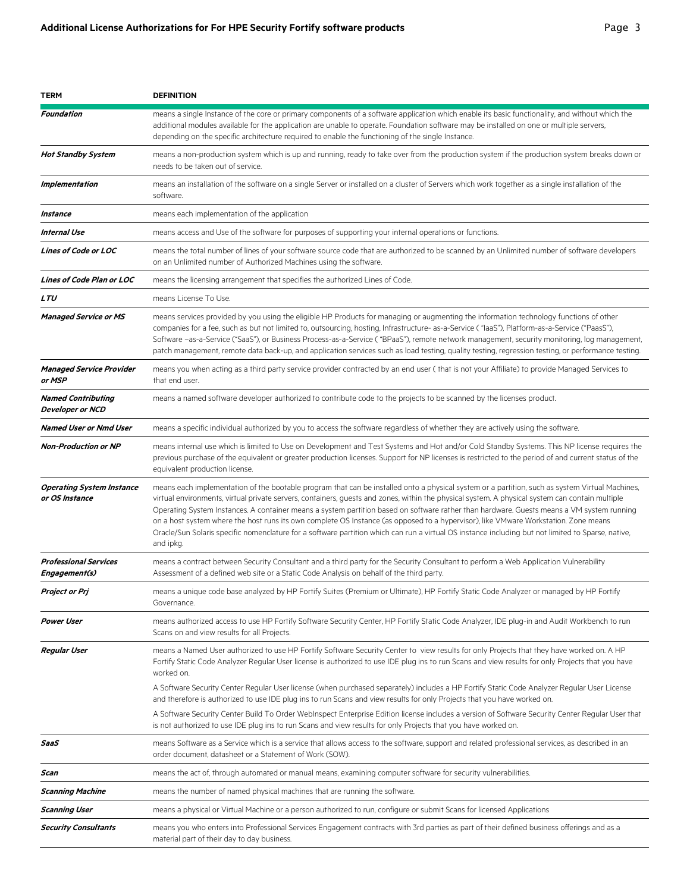| TERM                                                 | <b>DEFINITION</b>                                                                                                                                                                                                                                                                                                                                                                                                                                                                                                                                                                                                                                                                                                                                         |
|------------------------------------------------------|-----------------------------------------------------------------------------------------------------------------------------------------------------------------------------------------------------------------------------------------------------------------------------------------------------------------------------------------------------------------------------------------------------------------------------------------------------------------------------------------------------------------------------------------------------------------------------------------------------------------------------------------------------------------------------------------------------------------------------------------------------------|
| Foundation                                           | means a single Instance of the core or primary components of a software application which enable its basic functionality, and without which the<br>additional modules available for the application are unable to operate. Foundation software may be installed on one or multiple servers,<br>depending on the specific architecture required to enable the functioning of the single Instance.                                                                                                                                                                                                                                                                                                                                                          |
| <b>Hot Standby System</b>                            | means a non-production system which is up and running, ready to take over from the production system if the production system breaks down or<br>needs to be taken out of service.                                                                                                                                                                                                                                                                                                                                                                                                                                                                                                                                                                         |
| Implementation                                       | means an installation of the software on a single Server or installed on a cluster of Servers which work together as a single installation of the<br>software.                                                                                                                                                                                                                                                                                                                                                                                                                                                                                                                                                                                            |
| Instance                                             | means each implementation of the application                                                                                                                                                                                                                                                                                                                                                                                                                                                                                                                                                                                                                                                                                                              |
| Internal Use                                         | means access and Use of the software for purposes of supporting your internal operations or functions.                                                                                                                                                                                                                                                                                                                                                                                                                                                                                                                                                                                                                                                    |
| <b>Lines of Code or LOC</b>                          | means the total number of lines of your software source code that are authorized to be scanned by an Unlimited number of software developers<br>on an Unlimited number of Authorized Machines using the software.                                                                                                                                                                                                                                                                                                                                                                                                                                                                                                                                         |
| Lines of Code Plan or LOC                            | means the licensing arrangement that specifies the authorized Lines of Code.                                                                                                                                                                                                                                                                                                                                                                                                                                                                                                                                                                                                                                                                              |
| <b>LTU</b>                                           | means License To Use.                                                                                                                                                                                                                                                                                                                                                                                                                                                                                                                                                                                                                                                                                                                                     |
| <b>Managed Service or MS</b>                         | means services provided by you using the eligible HP Products for managing or augmenting the information technology functions of other<br>companies for a fee, such as but not limited to, outsourcing, hosting, Infrastructure- as-a-Service ("laaS"), Platform-as-a-Service ("PaasS"),<br>Software -as-a-Service ("SaaS"), or Business Process-as-a-Service ("BPaaS"), remote network management, security monitoring, log management,<br>patch management, remote data back-up, and application services such as load testing, quality testing, regression testing, or performance testing.                                                                                                                                                            |
| <b>Managed Service Provider</b><br>or MSP            | means you when acting as a third party service provider contracted by an end user (that is not your Affiliate) to provide Managed Services to<br>that end user.                                                                                                                                                                                                                                                                                                                                                                                                                                                                                                                                                                                           |
| <b>Named Contributing</b><br><b>Developer or NCD</b> | means a named software developer authorized to contribute code to the projects to be scanned by the licenses product.                                                                                                                                                                                                                                                                                                                                                                                                                                                                                                                                                                                                                                     |
| Named User or Nmd User                               | means a specific individual authorized by you to access the software regardless of whether they are actively using the software.                                                                                                                                                                                                                                                                                                                                                                                                                                                                                                                                                                                                                          |
| <b>Non-Production or NP</b>                          | means internal use which is limited to Use on Development and Test Systems and Hot and/or Cold Standby Systems. This NP license requires the<br>previous purchase of the equivalent or greater production licenses. Support for NP licenses is restricted to the period of and current status of the<br>equivalent production license.                                                                                                                                                                                                                                                                                                                                                                                                                    |
| <b>Operating System Instance</b><br>or OS Instance   | means each implementation of the bootable program that can be installed onto a physical system or a partition, such as system Virtual Machines,<br>virtual environments, virtual private servers, containers, guests and zones, within the physical system. A physical system can contain multiple<br>Operating System Instances. A container means a system partition based on software rather than hardware. Guests means a VM system running<br>on a host system where the host runs its own complete OS Instance (as opposed to a hypervisor), like VMware Workstation. Zone means<br>Oracle/Sun Solaris specific nomenclature for a software partition which can run a virtual OS instance including but not limited to Sparse, native,<br>and ipkg. |
| <b>Professional Services</b><br>Engagement(s)        | means a contract between Security Consultant and a third party for the Security Consultant to perform a Web Application Vulnerability<br>Assessment of a defined web site or a Static Code Analysis on behalf of the third party.                                                                                                                                                                                                                                                                                                                                                                                                                                                                                                                         |
| Project or Prj                                       | means a unique code base analyzed by HP Fortify Suites (Premium or Ultimate), HP Fortify Static Code Analyzer or managed by HP Fortify<br>Governance.                                                                                                                                                                                                                                                                                                                                                                                                                                                                                                                                                                                                     |
| <b>Power User</b>                                    | means authorized access to use HP Fortify Software Security Center, HP Fortify Static Code Analyzer, IDE plug-in and Audit Workbench to run<br>Scans on and view results for all Projects.                                                                                                                                                                                                                                                                                                                                                                                                                                                                                                                                                                |
| <b>Regular User</b>                                  | means a Named User authorized to use HP Fortify Software Security Center to view results for only Projects that they have worked on. A HP<br>Fortify Static Code Analyzer Regular User license is authorized to use IDE plug ins to run Scans and view results for only Projects that you have<br>worked on.                                                                                                                                                                                                                                                                                                                                                                                                                                              |
|                                                      | A Software Security Center Regular User license (when purchased separately) includes a HP Fortify Static Code Analyzer Regular User License<br>and therefore is authorized to use IDE plug ins to run Scans and view results for only Projects that you have worked on.                                                                                                                                                                                                                                                                                                                                                                                                                                                                                   |
|                                                      | A Software Security Center Build To Order WebInspect Enterprise Edition license includes a version of Software Security Center Regular User that<br>is not authorized to use IDE plug ins to run Scans and view results for only Projects that you have worked on.                                                                                                                                                                                                                                                                                                                                                                                                                                                                                        |
| SaaS                                                 | means Software as a Service which is a service that allows access to the software, support and related professional services, as described in an<br>order document, datasheet or a Statement of Work (SOW).                                                                                                                                                                                                                                                                                                                                                                                                                                                                                                                                               |
| Scan                                                 | means the act of, through automated or manual means, examining computer software for security vulnerabilities.                                                                                                                                                                                                                                                                                                                                                                                                                                                                                                                                                                                                                                            |
| <b>Scanning Machine</b>                              | means the number of named physical machines that are running the software.                                                                                                                                                                                                                                                                                                                                                                                                                                                                                                                                                                                                                                                                                |
| Scanning User                                        | means a physical or Virtual Machine or a person authorized to run, configure or submit Scans for licensed Applications                                                                                                                                                                                                                                                                                                                                                                                                                                                                                                                                                                                                                                    |
| <b>Security Consultants</b>                          | means you who enters into Professional Services Engagement contracts with 3rd parties as part of their defined business offerings and as a<br>material part of their day to day business.                                                                                                                                                                                                                                                                                                                                                                                                                                                                                                                                                                 |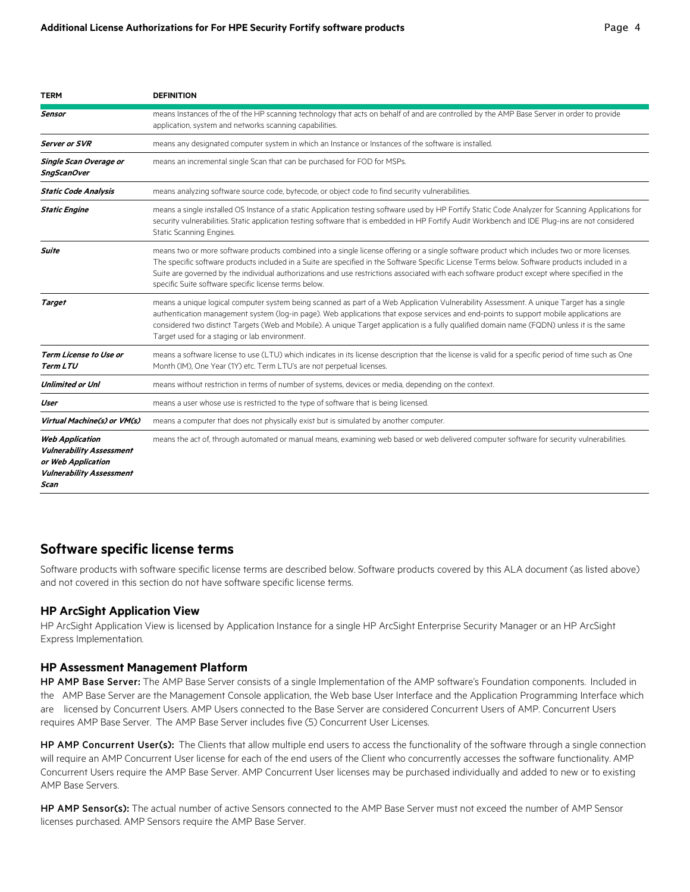| <b>TERM</b>                                                                                                                | <b>DEFINITION</b>                                                                                                                                                                                                                                                                                                                                                                                                                                                                                        |
|----------------------------------------------------------------------------------------------------------------------------|----------------------------------------------------------------------------------------------------------------------------------------------------------------------------------------------------------------------------------------------------------------------------------------------------------------------------------------------------------------------------------------------------------------------------------------------------------------------------------------------------------|
| Sensor                                                                                                                     | means Instances of the of the HP scanning technology that acts on behalf of and are controlled by the AMP Base Server in order to provide<br>application, system and networks scanning capabilities.                                                                                                                                                                                                                                                                                                     |
| Server or SVR                                                                                                              | means any designated computer system in which an Instance or Instances of the software is installed.                                                                                                                                                                                                                                                                                                                                                                                                     |
| Single Scan Overage or<br>SngScanOver                                                                                      | means an incremental single Scan that can be purchased for FOD for MSPs.                                                                                                                                                                                                                                                                                                                                                                                                                                 |
| <b>Static Code Analysis</b>                                                                                                | means analyzing software source code, bytecode, or object code to find security vulnerabilities.                                                                                                                                                                                                                                                                                                                                                                                                         |
| <b>Static Engine</b>                                                                                                       | means a single installed OS Instance of a static Application testing software used by HP Fortify Static Code Analyzer for Scanning Applications for<br>security vulnerabilities. Static application testing software that is embedded in HP Fortify Audit Workbench and IDE Plug-ins are not considered<br>Static Scanning Engines.                                                                                                                                                                      |
| <b>Suite</b>                                                                                                               | means two or more software products combined into a single license offering or a single software product which includes two or more licenses.<br>The specific software products included in a Suite are specified in the Software Specific License Terms below. Software products included in a<br>Suite are governed by the individual authorizations and use restrictions associated with each software product except where specified in the<br>specific Suite software specific license terms below. |
| <b>Target</b>                                                                                                              | means a unique logical computer system being scanned as part of a Web Application Vulnerability Assessment. A unique Target has a single<br>authentication management system (log-in page). Web applications that expose services and end-points to support mobile applications are<br>considered two distinct Targets (Web and Mobile). A unique Target application is a fully qualified domain name (FQDN) unless it is the same<br>Target used for a staging or lab environment.                      |
| <b>Term License to Use or</b><br><b>Term LTU</b>                                                                           | means a software license to use (LTU) which indicates in its license description that the license is valid for a specific period of time such as One<br>Month (IM), One Year (1Y) etc. Term LTU's are not perpetual licenses.                                                                                                                                                                                                                                                                            |
| <b>Unlimited or Unl</b>                                                                                                    | means without restriction in terms of number of systems, devices or media, depending on the context.                                                                                                                                                                                                                                                                                                                                                                                                     |
| User                                                                                                                       | means a user whose use is restricted to the type of software that is being licensed.                                                                                                                                                                                                                                                                                                                                                                                                                     |
| Virtual Machine(s) or VM(s)                                                                                                | means a computer that does not physically exist but is simulated by another computer.                                                                                                                                                                                                                                                                                                                                                                                                                    |
| <b>Web Application</b><br><b>Vulnerability Assessment</b><br>or Web Application<br><b>Vulnerability Assessment</b><br>Scan | means the act of, through automated or manual means, examining web based or web delivered computer software for security vulnerabilities.                                                                                                                                                                                                                                                                                                                                                                |

## **Software specific license terms**

Software products with software specific license terms are described below. Software products covered by this ALA document (as listed above) and not covered in this section do not have software specific license terms.

### **HP ArcSight Application View**

HP ArcSight Application View is licensed by Application Instance for a single HP ArcSight Enterprise Security Manager or an HP ArcSight Express Implementation.

#### **HP Assessment Management Platform**

HP AMP Base Server: The AMP Base Server consists of a single Implementation of the AMP software's Foundation components. Included in the AMP Base Server are the Management Console application, the Web base User Interface and the Application Programming Interface which are licensed by Concurrent Users. AMP Users connected to the Base Server are considered Concurrent Users of AMP. Concurrent Users requires AMP Base Server. The AMP Base Server includes five (5) Concurrent User Licenses.

HP AMP Concurrent User(s): The Clients that allow multiple end users to access the functionality of the software through a single connection will require an AMP Concurrent User license for each of the end users of the Client who concurrently accesses the software functionality. AMP Concurrent Users require the AMP Base Server. AMP Concurrent User licenses may be purchased individually and added to new or to existing AMP Base Servers.

HP AMP Sensor(s): The actual number of active Sensors connected to the AMP Base Server must not exceed the number of AMP Sensor licenses purchased. AMP Sensors require the AMP Base Server.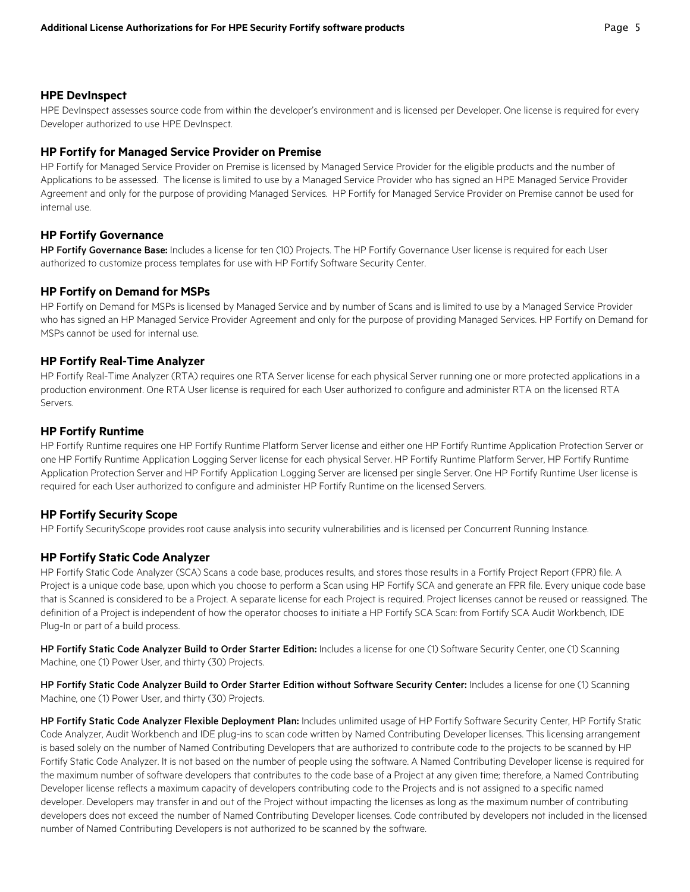#### **HPE DevInspect**

HPE DevInspect assesses source code from within the developer's environment and is licensed per Developer. One license is required for every Developer authorized to use HPE DevInspect.

#### **HP Fortify for Managed Service Provider on Premise**

HP Fortify for Managed Service Provider on Premise is licensed by Managed Service Provider for the eligible products and the number of Applications to be assessed. The license is limited to use by a Managed Service Provider who has signed an HPE Managed Service Provider Agreement and only for the purpose of providing Managed Services. HP Fortify for Managed Service Provider on Premise cannot be used for internal use.

#### **HP Fortify Governance**

HP Fortify Governance Base: Includes a license for ten (10) Projects. The HP Fortify Governance User license is required for each User authorized to customize process templates for use with HP Fortify Software Security Center.

#### **HP Fortify on Demand for MSPs**

HP Fortify on Demand for MSPs is licensed by Managed Service and by number of Scans and is limited to use by a Managed Service Provider who has signed an HP Managed Service Provider Agreement and only for the purpose of providing Managed Services. HP Fortify on Demand for MSPs cannot be used for internal use.

#### **HP Fortify Real-Time Analyzer**

HP Fortify Real-Time Analyzer (RTA) requires one RTA Server license for each physical Server running one or more protected applications in a production environment. One RTA User license is required for each User authorized to configure and administer RTA on the licensed RTA Servers.

#### **HP Fortify Runtime**

HP Fortify Runtime requires one HP Fortify Runtime Platform Server license and either one HP Fortify Runtime Application Protection Server or one HP Fortify Runtime Application Logging Server license for each physical Server. HP Fortify Runtime Platform Server, HP Fortify Runtime Application Protection Server and HP Fortify Application Logging Server are licensed per single Server. One HP Fortify Runtime User license is required for each User authorized to configure and administer HP Fortify Runtime on the licensed Servers.

#### **HP Fortify Security Scope**

HP Fortify SecurityScope provides root cause analysis into security vulnerabilities and is licensed per Concurrent Running Instance.

#### **HP Fortify Static Code Analyzer**

HP Fortify Static Code Analyzer (SCA) Scans a code base, produces results, and stores those results in a Fortify Project Report (FPR) file. A Project is a unique code base, upon which you choose to perform a Scan using HP Fortify SCA and generate an FPR file. Every unique code base that is Scanned is considered to be a Project. A separate license for each Project is required. Project licenses cannot be reused or reassigned. The definition of a Project is independent of how the operator chooses to initiate a HP Fortify SCA Scan: from Fortify SCA Audit Workbench, IDE Plug-In or part of a build process.

HP Fortify Static Code Analyzer Build to Order Starter Edition: Includes a license for one (1) Software Security Center, one (1) Scanning Machine, one (1) Power User, and thirty (30) Projects.

HP Fortify Static Code Analyzer Build to Order Starter Edition without Software Security Center: Includes a license for one (1) Scanning Machine, one (1) Power User, and thirty (30) Projects.

HP Fortify Static Code Analyzer Flexible Deployment Plan: Includes unlimited usage of HP Fortify Software Security Center, HP Fortify Static Code Analyzer, Audit Workbench and IDE plug-ins to scan code written by Named Contributing Developer licenses. This licensing arrangement is based solely on the number of Named Contributing Developers that are authorized to contribute code to the projects to be scanned by HP Fortify Static Code Analyzer. It is not based on the number of people using the software. A Named Contributing Developer license is required for the maximum number of software developers that contributes to the code base of a Project at any given time; therefore, a Named Contributing Developer license reflects a maximum capacity of developers contributing code to the Projects and is not assigned to a specific named developer. Developers may transfer in and out of the Project without impacting the licenses as long as the maximum number of contributing developers does not exceed the number of Named Contributing Developer licenses. Code contributed by developers not included in the licensed number of Named Contributing Developers is not authorized to be scanned by the software.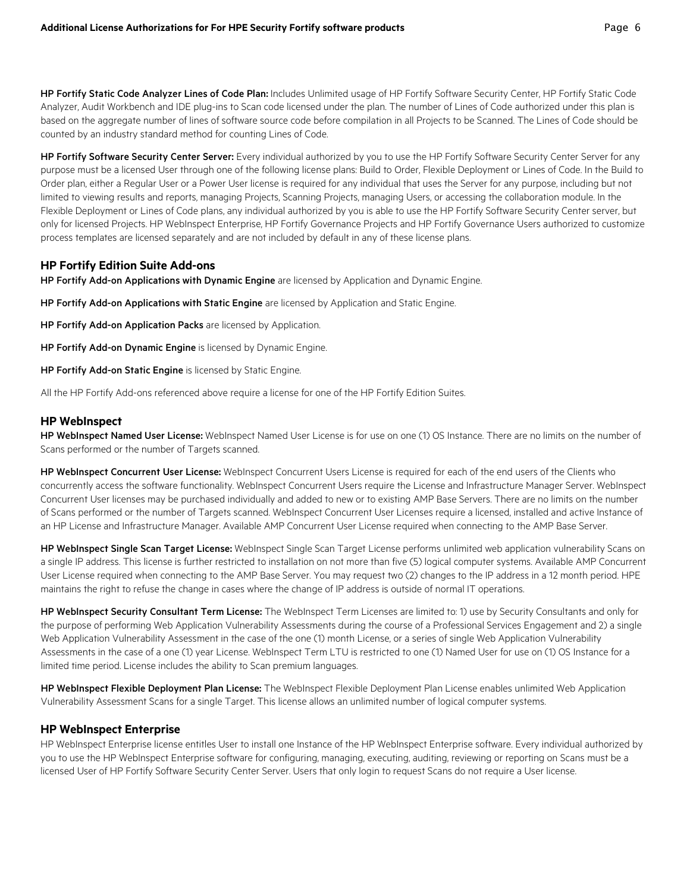HP Fortify Static Code Analyzer Lines of Code Plan: Includes Unlimited usage of HP Fortify Software Security Center, HP Fortify Static Code Analyzer, Audit Workbench and IDE plug-ins to Scan code licensed under the plan. The number of Lines of Code authorized under this plan is based on the aggregate number of lines of software source code before compilation in all Projects to be Scanned. The Lines of Code should be counted by an industry standard method for counting Lines of Code.

HP Fortify Software Security Center Server: Every individual authorized by you to use the HP Fortify Software Security Center Server for any purpose must be a licensed User through one of the following license plans: Build to Order, Flexible Deployment or Lines of Code. In the Build to Order plan, either a Regular User or a Power User license is required for any individual that uses the Server for any purpose, including but not limited to viewing results and reports, managing Projects, Scanning Projects, managing Users, or accessing the collaboration module. In the Flexible Deployment or Lines of Code plans, any individual authorized by you is able to use the HP Fortify Software Security Center server, but only for licensed Projects. HP WebInspect Enterprise, HP Fortify Governance Projects and HP Fortify Governance Users authorized to customize process templates are licensed separately and are not included by default in any of these license plans.

#### **HP Fortify Edition Suite Add-ons**

HP Fortify Add-on Applications with Dynamic Engine are licensed by Application and Dynamic Engine.

HP Fortify Add-on Applications with Static Engine are licensed by Application and Static Engine.

HP Fortify Add-on Application Packs are licensed by Application.

HP Fortify Add-on Dynamic Engine is licensed by Dynamic Engine.

HP Fortify Add-on Static Engine is licensed by Static Engine.

All the HP Fortify Add-ons referenced above require a license for one of the HP Fortify Edition Suites.

#### **HP WebInspect**

HP WebInspect Named User License: WebInspect Named User License is for use on one (1) OS Instance. There are no limits on the number of Scans performed or the number of Targets scanned.

HP WebInspect Concurrent User License: WebInspect Concurrent Users License is required for each of the end users of the Clients who concurrently access the software functionality. WebInspect Concurrent Users require the License and Infrastructure Manager Server. WebInspect Concurrent User licenses may be purchased individually and added to new or to existing AMP Base Servers. There are no limits on the number of Scans performed or the number of Targets scanned. WebInspect Concurrent User Licenses require a licensed, installed and active Instance of an HP License and Infrastructure Manager. Available AMP Concurrent User License required when connecting to the AMP Base Server.

HP WebInspect Single Scan Target License: WebInspect Single Scan Target License performs unlimited web application vulnerability Scans on a single IP address. This license is further restricted to installation on not more than five (5) logical computer systems. Available AMP Concurrent User License required when connecting to the AMP Base Server. You may request two (2) changes to the IP address in a 12 month period. HPE maintains the right to refuse the change in cases where the change of IP address is outside of normal IT operations.

HP WebInspect Security Consultant Term License: The WebInspect Term Licenses are limited to: 1) use by Security Consultants and only for the purpose of performing Web Application Vulnerability Assessments during the course of a Professional Services Engagement and 2) a single Web Application Vulnerability Assessment in the case of the one (1) month License, or a series of single Web Application Vulnerability Assessments in the case of a one (1) year License. WebInspect Term LTU is restricted to one (1) Named User for use on (1) OS Instance for a limited time period. License includes the ability to Scan premium languages.

HP WebInspect Flexible Deployment Plan License: The WebInspect Flexible Deployment Plan License enables unlimited Web Application Vulnerability Assessment Scans for a single Target. This license allows an unlimited number of logical computer systems.

#### **HP WebInspect Enterprise**

HP WebInspect Enterprise license entitles User to install one Instance of the HP WebInspect Enterprise software. Every individual authorized by you to use the HP WebInspect Enterprise software for configuring, managing, executing, auditing, reviewing or reporting on Scans must be a licensed User of HP Fortify Software Security Center Server. Users that only login to request Scans do not require a User license.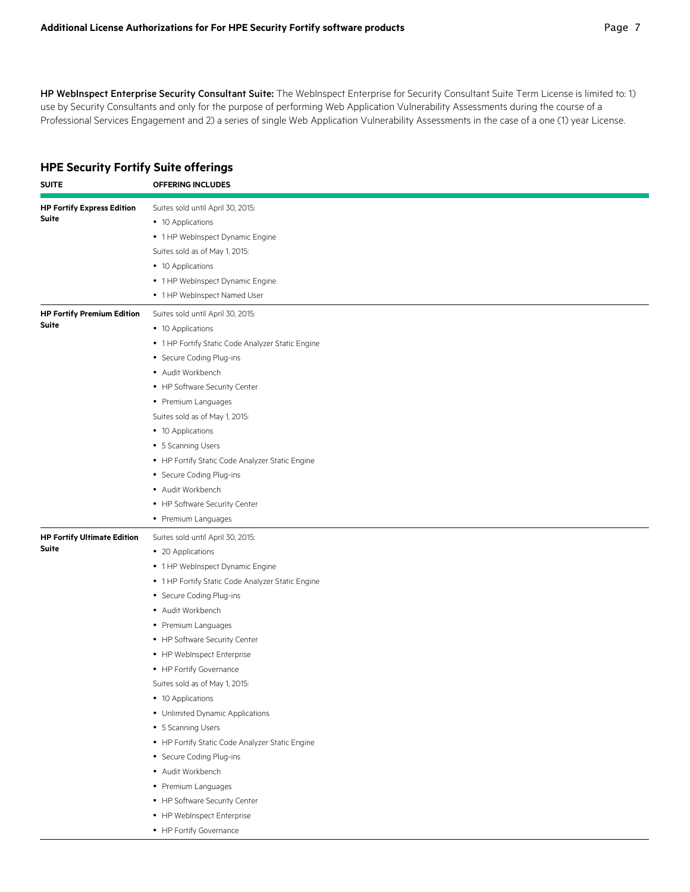HP WebInspect Enterprise Security Consultant Suite: The WebInspect Enterprise for Security Consultant Suite Term License is limited to: 1) use by Security Consultants and only for the purpose of performing Web Application Vulnerability Assessments during the course of a Professional Services Engagement and 2) a series of single Web Application Vulnerability Assessments in the case of a one (1) year License.

## **HPE Security Fortify Suite offerings**

| <b>SUITE</b>                                      | <b>OFFERING INCLUDES</b>                                                                                                                                                                                                                                                                                                                                                                                                                                                                                                                                                                                                                                |
|---------------------------------------------------|---------------------------------------------------------------------------------------------------------------------------------------------------------------------------------------------------------------------------------------------------------------------------------------------------------------------------------------------------------------------------------------------------------------------------------------------------------------------------------------------------------------------------------------------------------------------------------------------------------------------------------------------------------|
| <b>HP Fortify Express Edition</b><br><b>Suite</b> | Suites sold until April 30, 2015:<br>• 10 Applications<br>• 1 HP WebInspect Dynamic Engine<br>Suites sold as of May 1, 2015:<br>• 10 Applications<br>• 1 HP WebInspect Dynamic Engine<br>• 1 HP WebInspect Named User                                                                                                                                                                                                                                                                                                                                                                                                                                   |
| <b>HP Fortify Premium Edition</b><br>Suite        | Suites sold until April 30, 2015:<br>• 10 Applications<br>• 1 HP Fortify Static Code Analyzer Static Engine<br>• Secure Coding Plug-ins<br>• Audit Workbench<br>• HP Software Security Center<br>• Premium Languages<br>Suites sold as of May 1, 2015:<br>• 10 Applications<br>• 5 Scanning Users<br>• HP Fortify Static Code Analyzer Static Engine<br>• Secure Coding Plug-ins<br>• Audit Workbench<br>• HP Software Security Center<br>• Premium Languages                                                                                                                                                                                           |
| <b>HP Fortify Ultimate Edition</b><br>Suite       | Suites sold until April 30, 2015:<br>• 20 Applications<br>• 1 HP WebInspect Dynamic Engine<br>• 1 HP Fortify Static Code Analyzer Static Engine<br>• Secure Coding Plug-ins<br>• Audit Workbench<br>• Premium Languages<br>• HP Software Security Center<br>• HP WebInspect Enterprise<br>• HP Fortify Governance<br>Suites sold as of May 1, 2015:<br>• 10 Applications<br>• Unlimited Dynamic Applications<br>• 5 Scanning Users<br>• HP Fortify Static Code Analyzer Static Engine<br>• Secure Coding Plug-ins<br>• Audit Workbench<br>• Premium Languages<br>• HP Software Security Center<br>• HP WebInspect Enterprise<br>• HP Fortify Governance |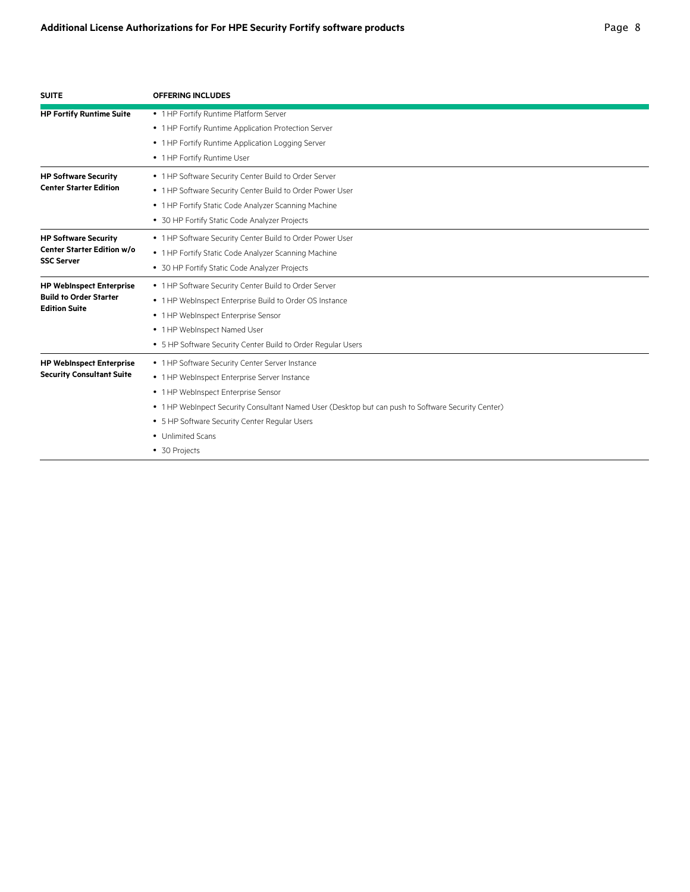| <b>SUITE</b>                      | <b>OFFERING INCLUDES</b>                                                                           |
|-----------------------------------|----------------------------------------------------------------------------------------------------|
| <b>HP Fortify Runtime Suite</b>   | • 1 HP Fortify Runtime Platform Server                                                             |
|                                   | • 1 HP Fortify Runtime Application Protection Server                                               |
|                                   | • 1 HP Fortify Runtime Application Logging Server                                                  |
|                                   | • 1 HP Fortify Runtime User                                                                        |
| <b>HP Software Security</b>       | • 1 HP Software Security Center Build to Order Server                                              |
| <b>Center Starter Edition</b>     | • 1 HP Software Security Center Build to Order Power User                                          |
|                                   | • 1 HP Fortify Static Code Analyzer Scanning Machine                                               |
|                                   | • 30 HP Fortify Static Code Analyzer Projects                                                      |
| <b>HP Software Security</b>       | • 1 HP Software Security Center Build to Order Power User                                          |
| <b>Center Starter Edition w/o</b> | • 1 HP Fortify Static Code Analyzer Scanning Machine                                               |
| <b>SSC Server</b>                 | • 30 HP Fortify Static Code Analyzer Projects                                                      |
| <b>HP WebInspect Enterprise</b>   | • 1 HP Software Security Center Build to Order Server                                              |
| <b>Build to Order Starter</b>     | • 1 HP WebInspect Enterprise Build to Order OS Instance                                            |
| <b>Edition Suite</b>              | • 1 HP WebInspect Enterprise Sensor                                                                |
|                                   | • 1 HP WebInspect Named User                                                                       |
|                                   | • 5 HP Software Security Center Build to Order Regular Users                                       |
| <b>HP WebInspect Enterprise</b>   | • 1 HP Software Security Center Server Instance                                                    |
| <b>Security Consultant Suite</b>  | • 1 HP WebInspect Enterprise Server Instance                                                       |
|                                   | • 1 HP WebInspect Enterprise Sensor                                                                |
|                                   | • 1 HP WebInpect Security Consultant Named User (Desktop but can push to Software Security Center) |
|                                   | • 5 HP Software Security Center Regular Users                                                      |
|                                   | • Unlimited Scans                                                                                  |
|                                   | • 30 Projects                                                                                      |
|                                   |                                                                                                    |